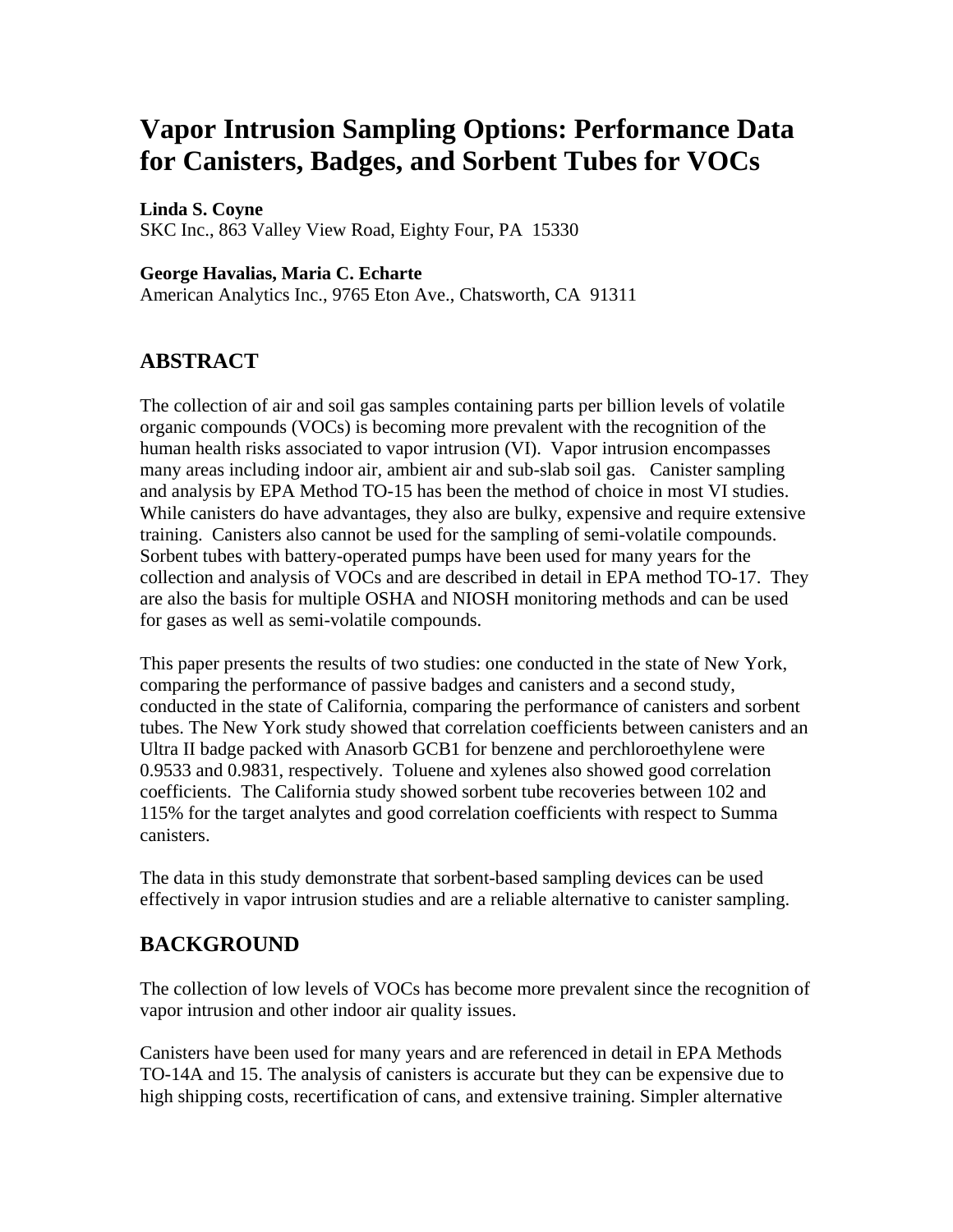# **Vapor Intrusion Sampling Options: Performance Data for Canisters, Badges, and Sorbent Tubes for VOCs**

**Linda S. Coyne** 

SKC Inc., 863 Valley View Road, Eighty Four, PA 15330

#### **George Havalias, Maria C. Echarte**

American Analytics Inc., 9765 Eton Ave., Chatsworth, CA 91311

# **ABSTRACT**

The collection of air and soil gas samples containing parts per billion levels of volatile organic compounds (VOCs) is becoming more prevalent with the recognition of the human health risks associated to vapor intrusion (VI). Vapor intrusion encompasses many areas including indoor air, ambient air and sub-slab soil gas. Canister sampling and analysis by EPA Method TO-15 has been the method of choice in most VI studies. While canisters do have advantages, they also are bulky, expensive and require extensive training. Canisters also cannot be used for the sampling of semi-volatile compounds. Sorbent tubes with battery-operated pumps have been used for many years for the collection and analysis of VOCs and are described in detail in EPA method TO-17. They are also the basis for multiple OSHA and NIOSH monitoring methods and can be used for gases as well as semi-volatile compounds.

This paper presents the results of two studies: one conducted in the state of New York, comparing the performance of passive badges and canisters and a second study, conducted in the state of California, comparing the performance of canisters and sorbent tubes. The New York study showed that correlation coefficients between canisters and an Ultra II badge packed with Anasorb GCB1 for benzene and perchloroethylene were 0.9533 and 0.9831, respectively. Toluene and xylenes also showed good correlation coefficients. The California study showed sorbent tube recoveries between 102 and 115% for the target analytes and good correlation coefficients with respect to Summa canisters.

The data in this study demonstrate that sorbent-based sampling devices can be used effectively in vapor intrusion studies and are a reliable alternative to canister sampling.

## **BACKGROUND**

The collection of low levels of VOCs has become more prevalent since the recognition of vapor intrusion and other indoor air quality issues.

Canisters have been used for many years and are referenced in detail in EPA Methods TO-14A and 15. The analysis of canisters is accurate but they can be expensive due to high shipping costs, recertification of cans, and extensive training. Simpler alternative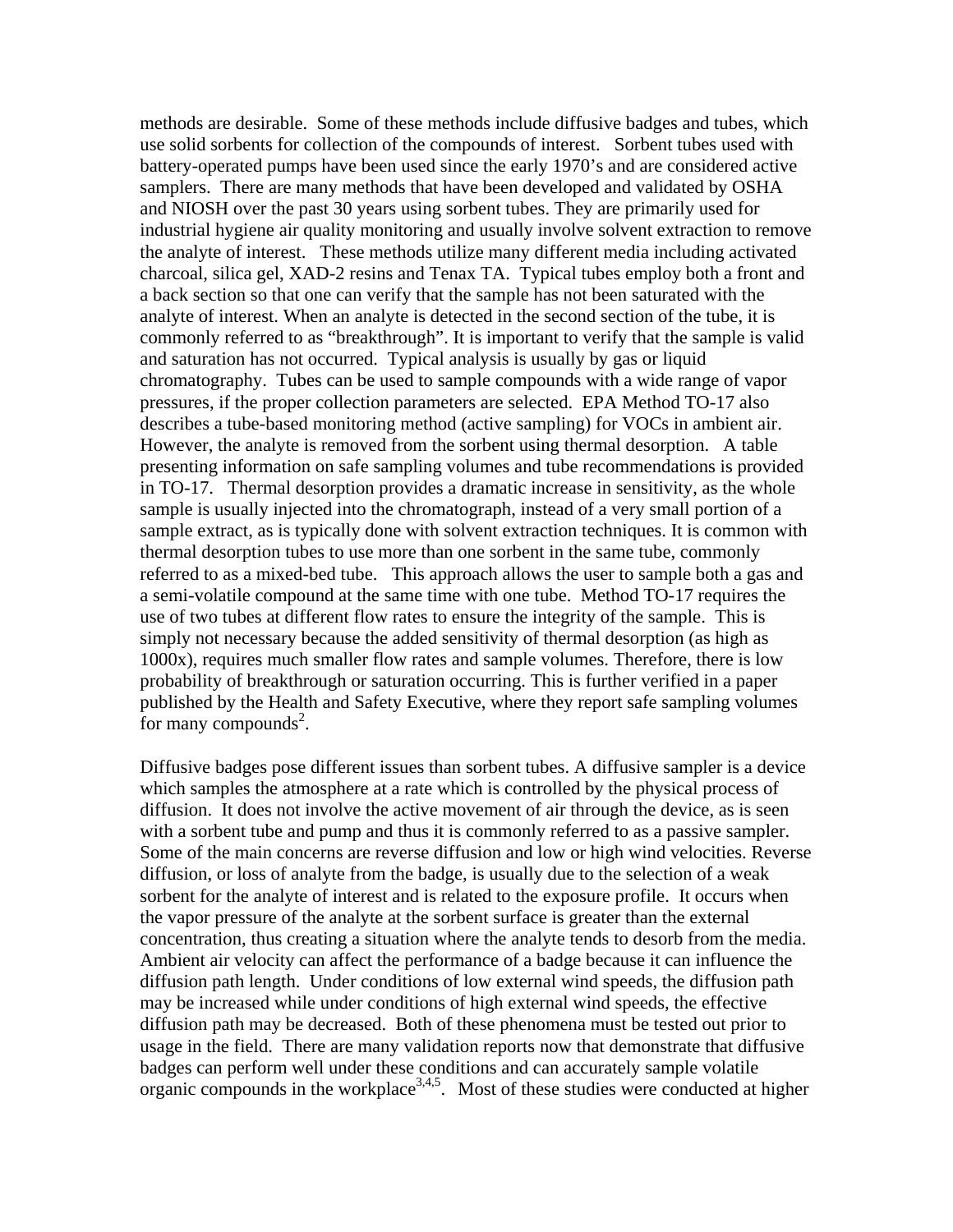methods are desirable. Some of these methods include diffusive badges and tubes, which use solid sorbents for collection of the compounds of interest. Sorbent tubes used with battery-operated pumps have been used since the early 1970's and are considered active samplers. There are many methods that have been developed and validated by OSHA and NIOSH over the past 30 years using sorbent tubes. They are primarily used for industrial hygiene air quality monitoring and usually involve solvent extraction to remove the analyte of interest. These methods utilize many different media including activated charcoal, silica gel, XAD-2 resins and Tenax TA. Typical tubes employ both a front and a back section so that one can verify that the sample has not been saturated with the analyte of interest. When an analyte is detected in the second section of the tube, it is commonly referred to as "breakthrough". It is important to verify that the sample is valid and saturation has not occurred. Typical analysis is usually by gas or liquid chromatography. Tubes can be used to sample compounds with a wide range of vapor pressures, if the proper collection parameters are selected. EPA Method TO-17 also describes a tube-based monitoring method (active sampling) for VOCs in ambient air. However, the analyte is removed from the sorbent using thermal desorption. A table presenting information on safe sampling volumes and tube recommendations is provided in TO-17. Thermal desorption provides a dramatic increase in sensitivity, as the whole sample is usually injected into the chromatograph, instead of a very small portion of a sample extract, as is typically done with solvent extraction techniques. It is common with thermal desorption tubes to use more than one sorbent in the same tube, commonly referred to as a mixed-bed tube. This approach allows the user to sample both a gas and a semi-volatile compound at the same time with one tube. Method TO-17 requires the use of two tubes at different flow rates to ensure the integrity of the sample. This is simply not necessary because the added sensitivity of thermal desorption (as high as 1000x), requires much smaller flow rates and sample volumes. Therefore, there is low probability of breakthrough or saturation occurring. This is further verified in a paper published by the Health and Safety Executive, where they report safe sampling volumes for many compounds<sup>2</sup>.

Diffusive badges pose different issues than sorbent tubes. A diffusive sampler is a device which samples the atmosphere at a rate which is controlled by the physical process of diffusion. It does not involve the active movement of air through the device, as is seen with a sorbent tube and pump and thus it is commonly referred to as a passive sampler. Some of the main concerns are reverse diffusion and low or high wind velocities. Reverse diffusion, or loss of analyte from the badge, is usually due to the selection of a weak sorbent for the analyte of interest and is related to the exposure profile. It occurs when the vapor pressure of the analyte at the sorbent surface is greater than the external concentration, thus creating a situation where the analyte tends to desorb from the media. Ambient air velocity can affect the performance of a badge because it can influence the diffusion path length. Under conditions of low external wind speeds, the diffusion path may be increased while under conditions of high external wind speeds, the effective diffusion path may be decreased. Both of these phenomena must be tested out prior to usage in the field. There are many validation reports now that demonstrate that diffusive badges can perform well under these conditions and can accurately sample volatile organic compounds in the workplace<sup>3,4,5</sup>. Most of these studies were conducted at higher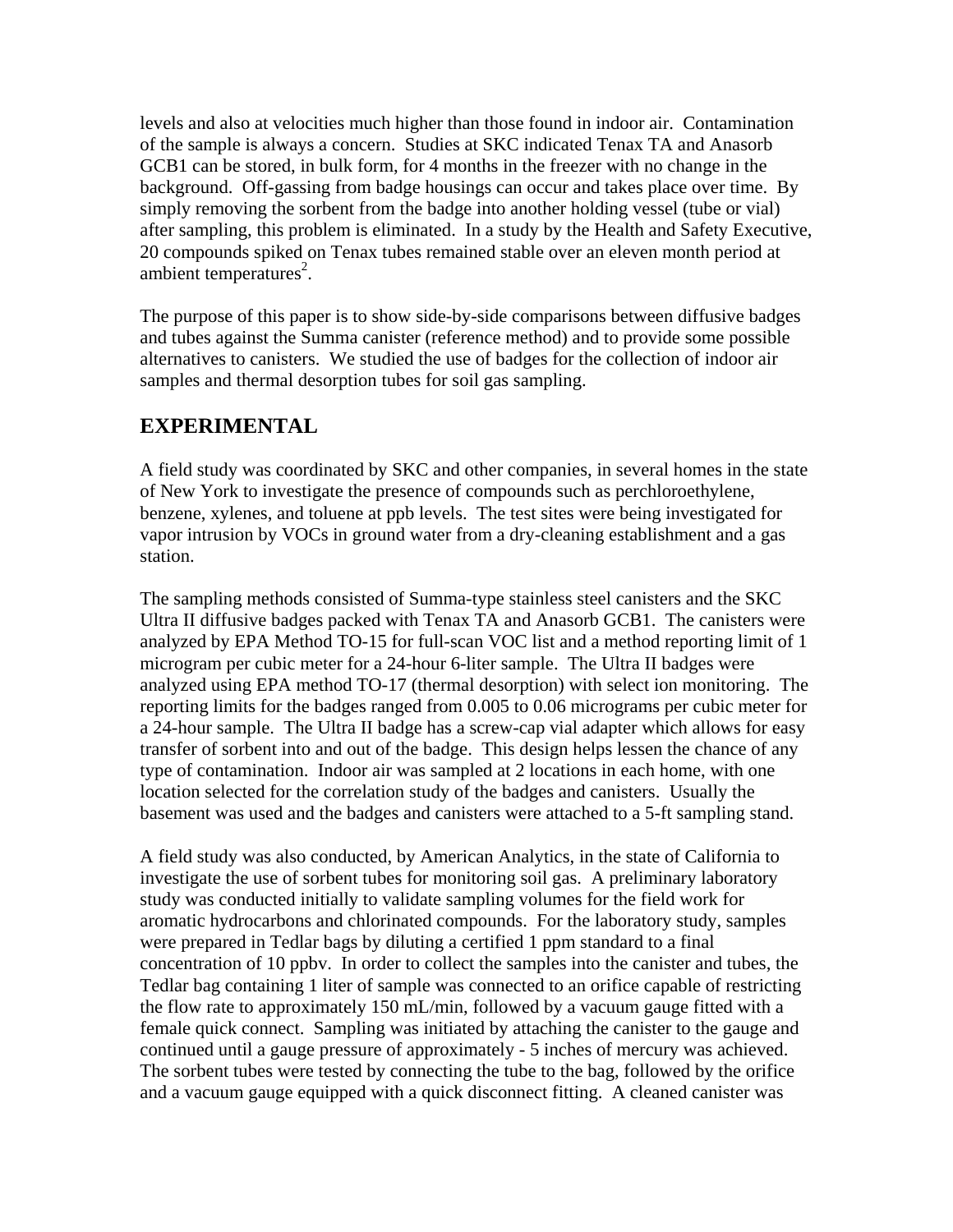levels and also at velocities much higher than those found in indoor air. Contamination of the sample is always a concern. Studies at SKC indicated Tenax TA and Anasorb GCB1 can be stored, in bulk form, for 4 months in the freezer with no change in the background. Off-gassing from badge housings can occur and takes place over time. By simply removing the sorbent from the badge into another holding vessel (tube or vial) after sampling, this problem is eliminated. In a study by the Health and Safety Executive, 20 compounds spiked on Tenax tubes remained stable over an eleven month period at ambient temperatures $2$ .

The purpose of this paper is to show side-by-side comparisons between diffusive badges and tubes against the Summa canister (reference method) and to provide some possible alternatives to canisters. We studied the use of badges for the collection of indoor air samples and thermal desorption tubes for soil gas sampling.

## **EXPERIMENTAL**

A field study was coordinated by SKC and other companies, in several homes in the state of New York to investigate the presence of compounds such as perchloroethylene, benzene, xylenes, and toluene at ppb levels. The test sites were being investigated for vapor intrusion by VOCs in ground water from a dry-cleaning establishment and a gas station.

The sampling methods consisted of Summa-type stainless steel canisters and the SKC Ultra II diffusive badges packed with Tenax TA and Anasorb GCB1. The canisters were analyzed by EPA Method TO-15 for full-scan VOC list and a method reporting limit of 1 microgram per cubic meter for a 24-hour 6-liter sample. The Ultra II badges were analyzed using EPA method TO-17 (thermal desorption) with select ion monitoring. The reporting limits for the badges ranged from 0.005 to 0.06 micrograms per cubic meter for a 24-hour sample. The Ultra II badge has a screw-cap vial adapter which allows for easy transfer of sorbent into and out of the badge. This design helps lessen the chance of any type of contamination. Indoor air was sampled at 2 locations in each home, with one location selected for the correlation study of the badges and canisters. Usually the basement was used and the badges and canisters were attached to a 5-ft sampling stand.

A field study was also conducted, by American Analytics, in the state of California to investigate the use of sorbent tubes for monitoring soil gas. A preliminary laboratory study was conducted initially to validate sampling volumes for the field work for aromatic hydrocarbons and chlorinated compounds. For the laboratory study, samples were prepared in Tedlar bags by diluting a certified 1 ppm standard to a final concentration of 10 ppbv. In order to collect the samples into the canister and tubes, the Tedlar bag containing 1 liter of sample was connected to an orifice capable of restricting the flow rate to approximately 150 mL/min, followed by a vacuum gauge fitted with a female quick connect. Sampling was initiated by attaching the canister to the gauge and continued until a gauge pressure of approximately - 5 inches of mercury was achieved. The sorbent tubes were tested by connecting the tube to the bag, followed by the orifice and a vacuum gauge equipped with a quick disconnect fitting. A cleaned canister was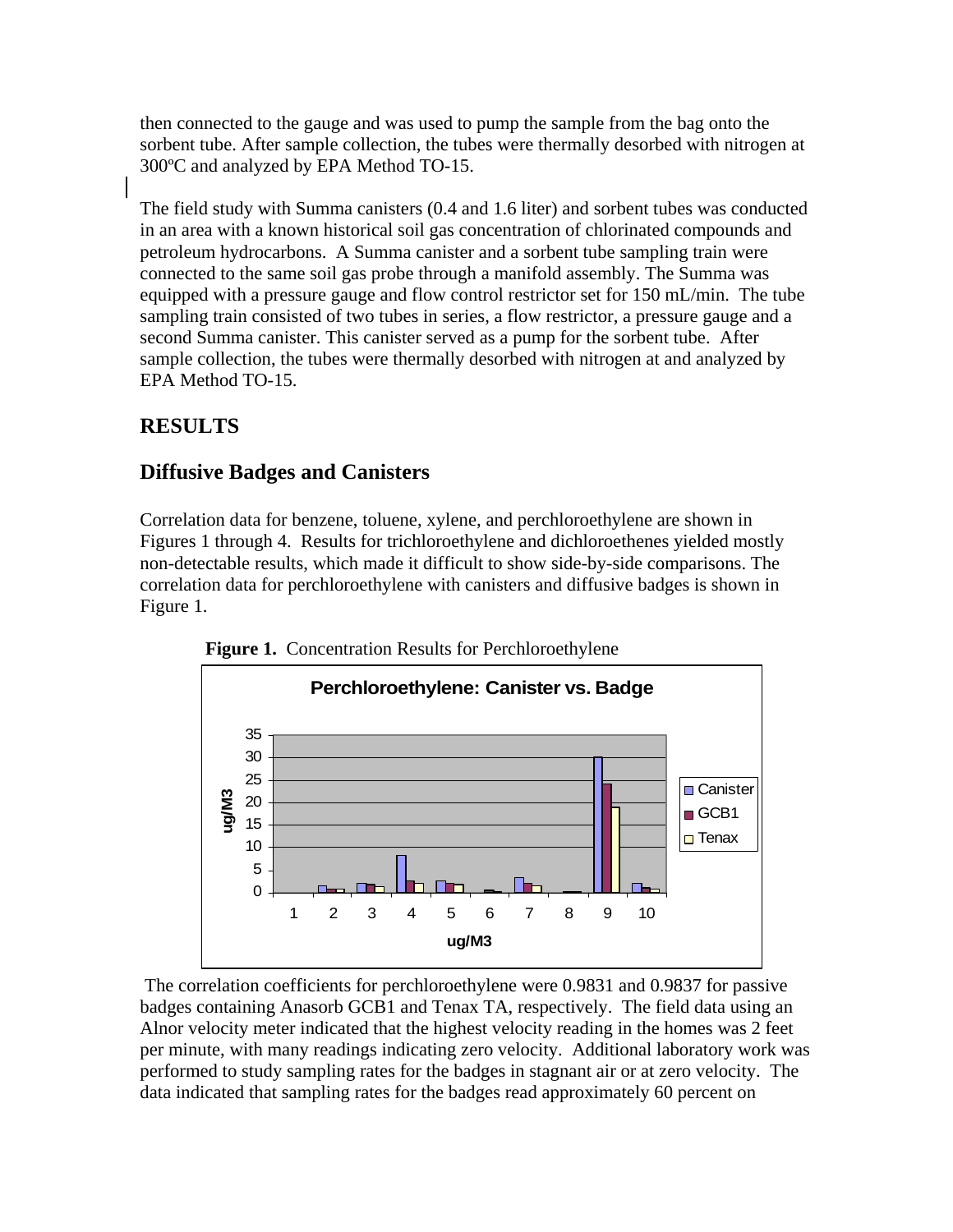then connected to the gauge and was used to pump the sample from the bag onto the sorbent tube. After sample collection, the tubes were thermally desorbed with nitrogen at 300ºC and analyzed by EPA Method TO-15.

The field study with Summa canisters (0.4 and 1.6 liter) and sorbent tubes was conducted in an area with a known historical soil gas concentration of chlorinated compounds and petroleum hydrocarbons. A Summa canister and a sorbent tube sampling train were connected to the same soil gas probe through a manifold assembly. The Summa was equipped with a pressure gauge and flow control restrictor set for 150 mL/min. The tube sampling train consisted of two tubes in series, a flow restrictor, a pressure gauge and a second Summa canister. This canister served as a pump for the sorbent tube. After sample collection, the tubes were thermally desorbed with nitrogen at and analyzed by EPA Method TO-15.

# **RESULTS**

## **Diffusive Badges and Canisters**

Correlation data for benzene, toluene, xylene, and perchloroethylene are shown in Figures 1 through 4. Results for trichloroethylene and dichloroethenes yielded mostly non-detectable results, which made it difficult to show side-by-side comparisons. The correlation data for perchloroethylene with canisters and diffusive badges is shown in Figure 1.



**Figure 1.** Concentration Results for Perchloroethylene

 The correlation coefficients for perchloroethylene were 0.9831 and 0.9837 for passive badges containing Anasorb GCB1 and Tenax TA, respectively. The field data using an Alnor velocity meter indicated that the highest velocity reading in the homes was 2 feet per minute, with many readings indicating zero velocity. Additional laboratory work was performed to study sampling rates for the badges in stagnant air or at zero velocity. The data indicated that sampling rates for the badges read approximately 60 percent on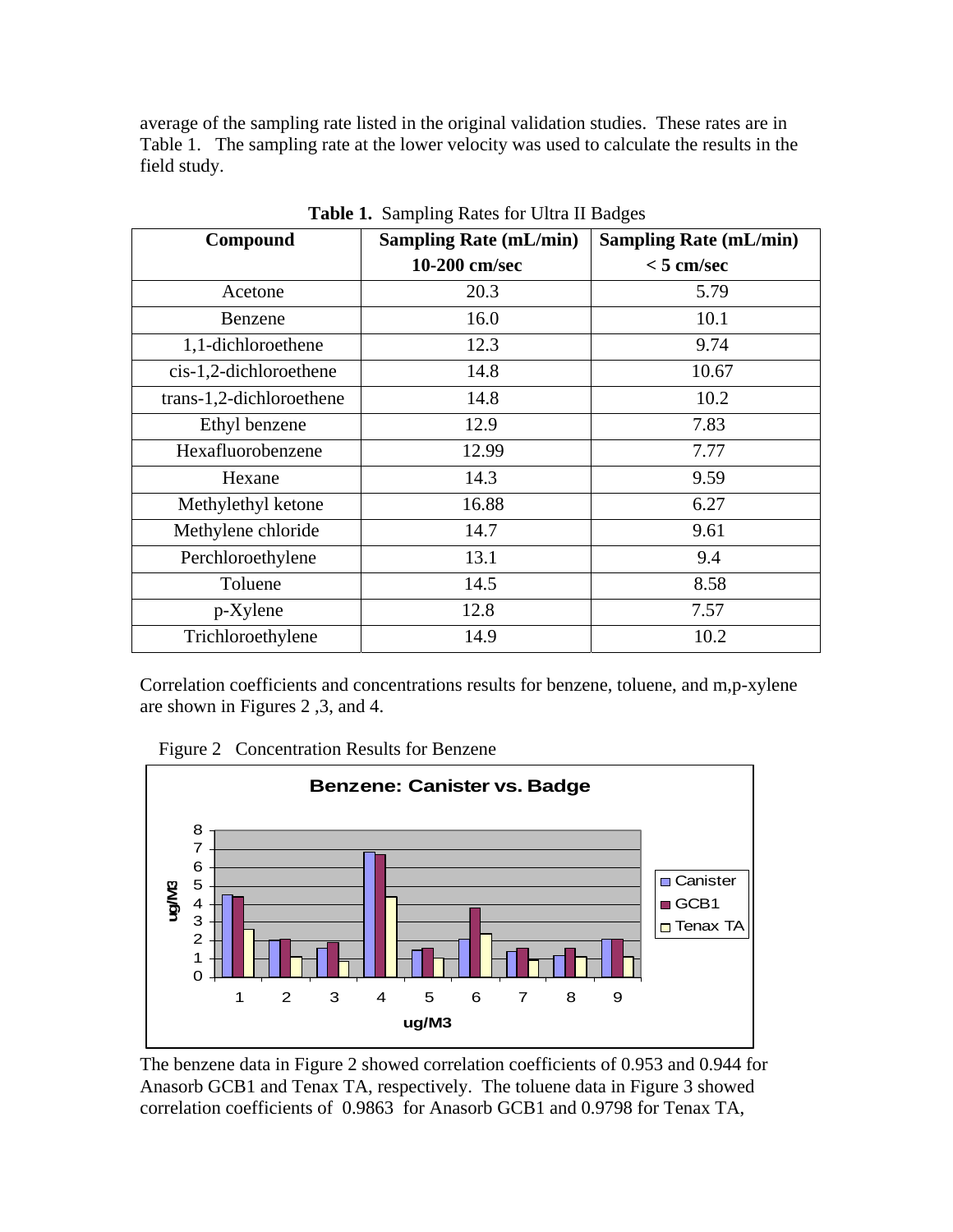average of the sampling rate listed in the original validation studies. These rates are in Table 1. The sampling rate at the lower velocity was used to calculate the results in the field study.

| Compound                 | <b>Sampling Rate (mL/min)</b> | <b>Sampling Rate (mL/min)</b> |  |  |  |  |
|--------------------------|-------------------------------|-------------------------------|--|--|--|--|
|                          | 10-200 cm/sec                 | $< 5$ cm/sec                  |  |  |  |  |
| Acetone                  | 20.3                          | 5.79                          |  |  |  |  |
| Benzene                  | 16.0                          | 10.1                          |  |  |  |  |
| 1,1-dichloroethene       | 12.3                          | 9.74                          |  |  |  |  |
| cis-1,2-dichloroethene   | 14.8                          | 10.67                         |  |  |  |  |
| trans-1,2-dichloroethene | 14.8                          | 10.2                          |  |  |  |  |
| Ethyl benzene            | 12.9                          | 7.83                          |  |  |  |  |
| Hexafluorobenzene        | 12.99                         | 7.77                          |  |  |  |  |
| Hexane                   | 14.3                          | 9.59                          |  |  |  |  |
| Methylethyl ketone       | 16.88                         | 6.27                          |  |  |  |  |
| Methylene chloride       | 14.7                          | 9.61                          |  |  |  |  |
| Perchloroethylene        | 13.1                          | 9.4                           |  |  |  |  |
| Toluene                  | 14.5                          | 8.58                          |  |  |  |  |
| p-Xylene                 | 12.8                          | 7.57                          |  |  |  |  |
| Trichloroethylene        | 14.9                          | 10.2                          |  |  |  |  |

**Table 1.** Sampling Rates for Ultra II Badges

Correlation coefficients and concentrations results for benzene, toluene, and m,p-xylene are shown in Figures 2 ,3, and 4.

Figure 2 Concentration Results for Benzene



The benzene data in Figure 2 showed correlation coefficients of 0.953 and 0.944 for Anasorb GCB1 and Tenax TA, respectively. The toluene data in Figure 3 showed correlation coefficients of 0.9863 for Anasorb GCB1 and 0.9798 for Tenax TA,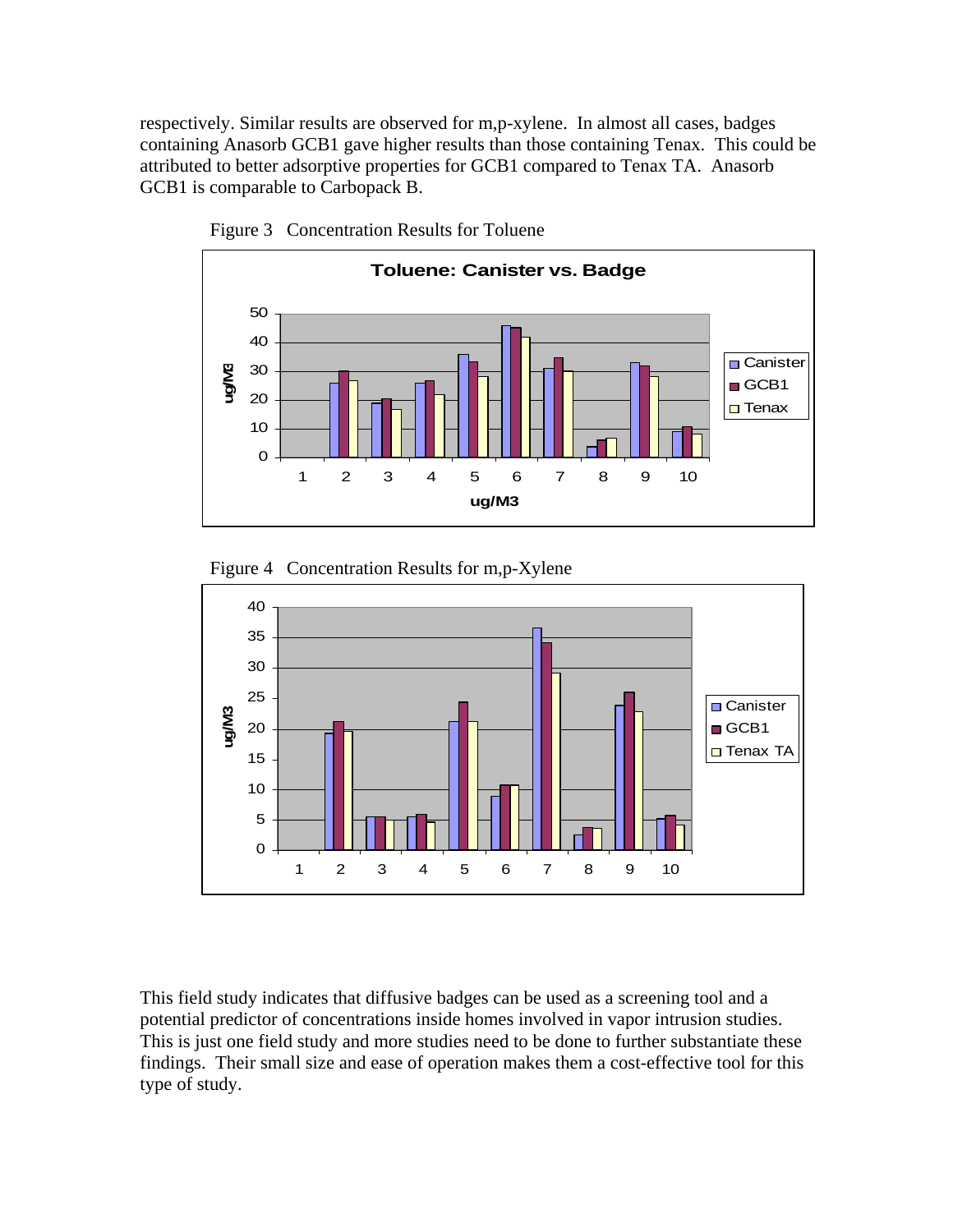respectively. Similar results are observed for m,p-xylene. In almost all cases, badges containing Anasorb GCB1 gave higher results than those containing Tenax. This could be attributed to better adsorptive properties for GCB1 compared to Tenax TA. Anasorb GCB1 is comparable to Carbopack B.



Figure 3 Concentration Results for Toluene





This field study indicates that diffusive badges can be used as a screening tool and a potential predictor of concentrations inside homes involved in vapor intrusion studies. This is just one field study and more studies need to be done to further substantiate these findings. Their small size and ease of operation makes them a cost-effective tool for this type of study.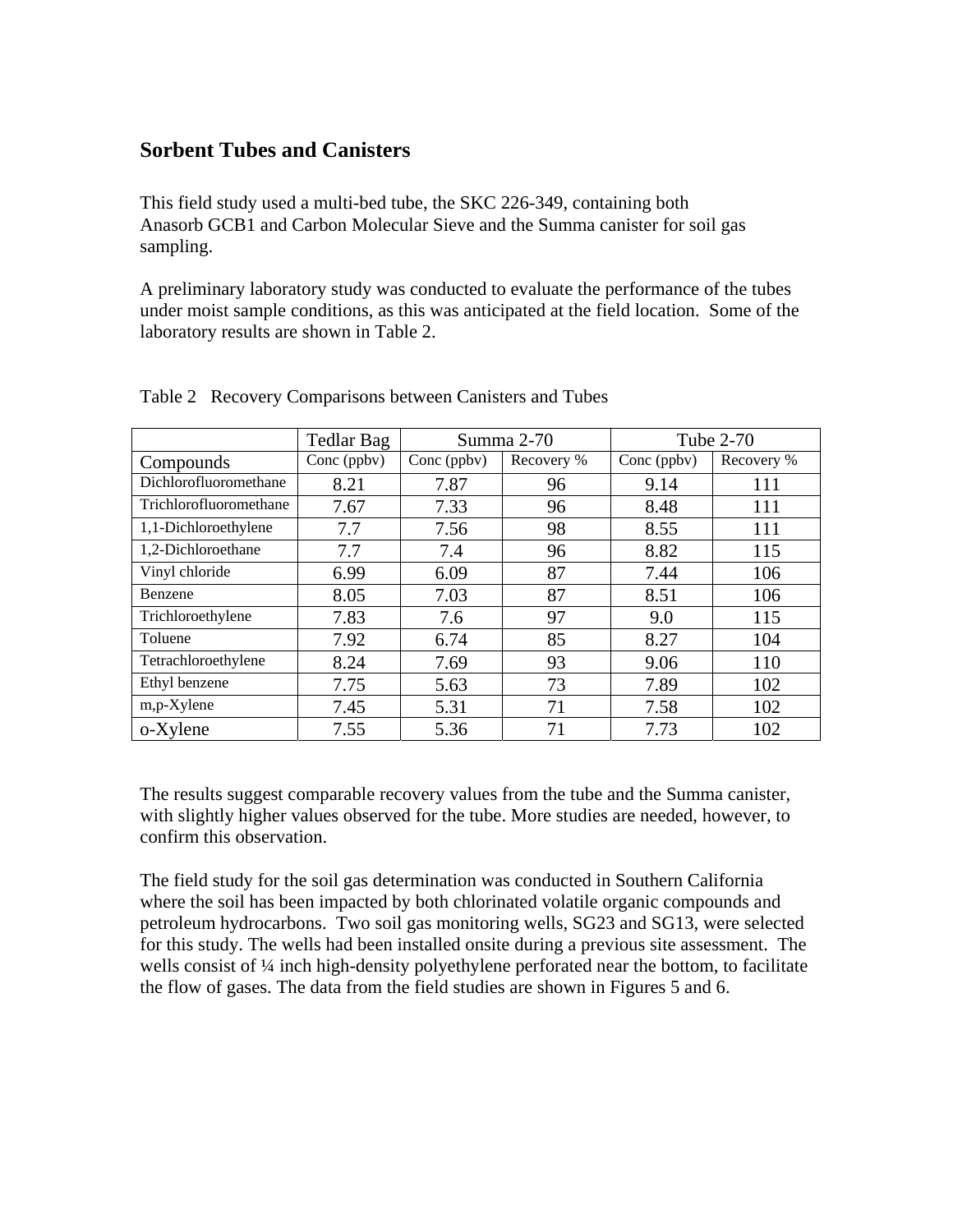#### **Sorbent Tubes and Canisters**

This field study used a multi-bed tube, the SKC 226-349, containing both Anasorb GCB1 and Carbon Molecular Sieve and the Summa canister for soil gas sampling.

A preliminary laboratory study was conducted to evaluate the performance of the tubes under moist sample conditions, as this was anticipated at the field location. Some of the laboratory results are shown in Table 2.

|                        | <b>Tedlar Bag</b> | Summa 2-70  |            | Tube 2-70   |            |
|------------------------|-------------------|-------------|------------|-------------|------------|
| Compounds              | Conc (ppbv)       | Conc (ppbv) | Recovery % | Conc (ppbv) | Recovery % |
| Dichlorofluoromethane  | 8.21              | 7.87        | 96         | 9.14        | 111        |
| Trichlorofluoromethane | 7.67              | 7.33        | 96         | 8.48        | 111        |
| 1,1-Dichloroethylene   | 7.7               | 7.56        | 98         | 8.55        | 111        |
| 1,2-Dichloroethane     | 7.7               | 7.4         | 96         | 8.82        | 115        |
| Vinyl chloride         | 6.99              | 6.09        | 87         | 7.44        | 106        |
| Benzene                | 8.05              | 7.03        | 87         | 8.51        | 106        |
| Trichloroethylene      | 7.83              | 7.6         | 97         | 9.0         | 115        |
| Toluene                | 7.92              | 6.74        | 85         | 8.27        | 104        |
| Tetrachloroethylene    | 8.24              | 7.69        | 93         | 9.06        | 110        |
| Ethyl benzene          | 7.75              | 5.63        | 73         | 7.89        | 102        |
| m,p-Xylene             | 7.45              | 5.31        | 71         | 7.58        | 102        |
| o-Xylene               | 7.55              | 5.36        | 71         | 7.73        | 102        |

#### Table 2 Recovery Comparisons between Canisters and Tubes

The results suggest comparable recovery values from the tube and the Summa canister, with slightly higher values observed for the tube. More studies are needed, however, to confirm this observation.

The field study for the soil gas determination was conducted in Southern California where the soil has been impacted by both chlorinated volatile organic compounds and petroleum hydrocarbons. Two soil gas monitoring wells, SG23 and SG13, were selected for this study. The wells had been installed onsite during a previous site assessment. The wells consist of  $\frac{1}{4}$  inch high-density polyethylene perforated near the bottom, to facilitate the flow of gases. The data from the field studies are shown in Figures 5 and 6.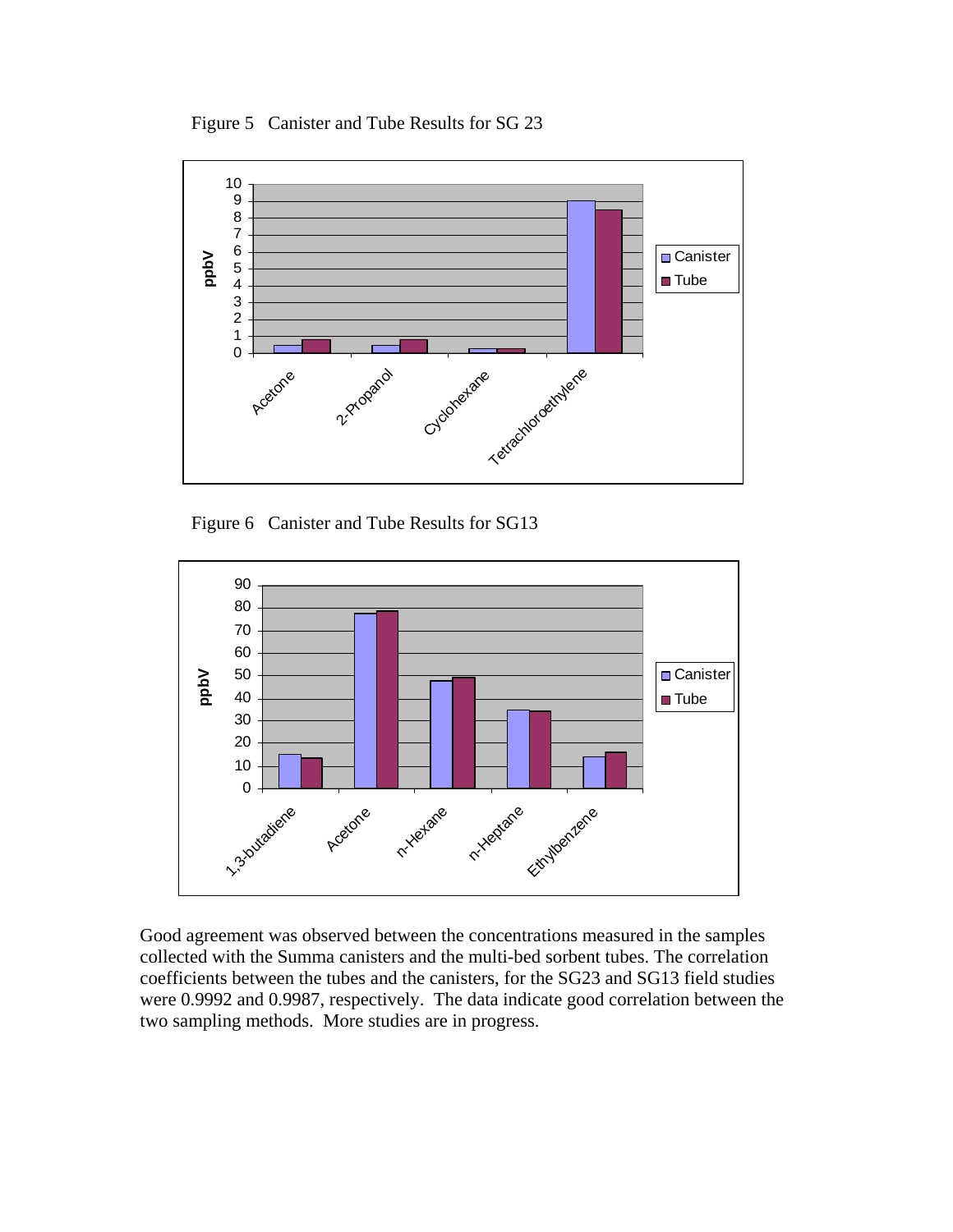Figure 5 Canister and Tube Results for SG 23



Figure 6 Canister and Tube Results for SG13



Good agreement was observed between the concentrations measured in the samples collected with the Summa canisters and the multi-bed sorbent tubes. The correlation coefficients between the tubes and the canisters, for the SG23 and SG13 field studies were 0.9992 and 0.9987, respectively. The data indicate good correlation between the two sampling methods. More studies are in progress.